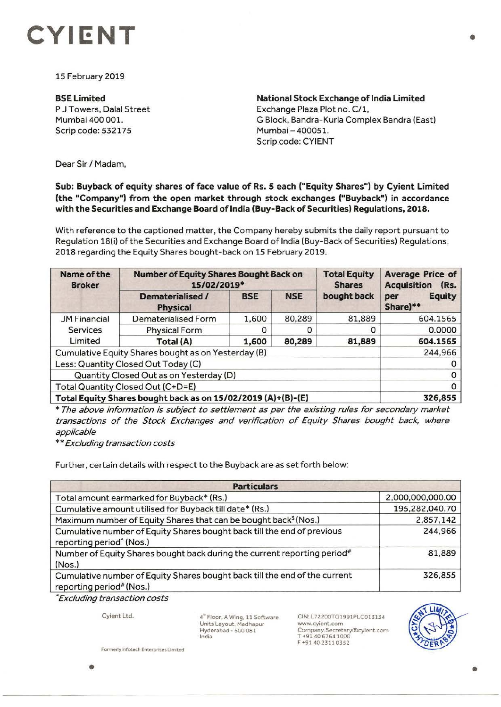

15 February 2019

## **BSELimited**  P J Towers, Dalal Street Mumbai 400 001.

Scrip code: 532175

**National Stock Exchange of India Limited**  Exchange Plaza Plot no. C/1, G Block, Bandra-Kurla Complex Sandra (East) Mumbai-400051. Scrip code: CYIENT

Dear Sir/ Madam,

## **Sub: Buyback of equity shares of face value of Rs. 5 each ("Equity Shares") by Cyient Limited (the "Company") from the open market through stock exchanges ("Buyback") in accordance with the Securities and Exchange Board of India (Buy-Back of Securities) Regulations, 2018.**

With reference to the captioned matter, the Company hereby submits the daily report pursuant to Regulation 18(i) of the Securities and Exchange Board of India (Buy-Back of Securities) Regulations, 2018 regarding the Equity Shares bought -back on 15 February 2019.

| Name of the<br><b>Broker</b>                                 | <b>Number of Equity Shares Bought Back on</b><br>15/02/2019* |            |            | <b>Total Equity</b><br><b>Shares</b> | <b>Average Price of</b><br><b>Acquisition</b><br>(Rs. |
|--------------------------------------------------------------|--------------------------------------------------------------|------------|------------|--------------------------------------|-------------------------------------------------------|
|                                                              | Dematerialised /<br><b>Physical</b>                          | <b>BSE</b> | <b>NSE</b> | bought back                          | <b>Equity</b><br>per<br>Share)**                      |
| <b>JM Financial</b>                                          | Dematerialised Form                                          | 1,600      | 80,289     | 81,889                               | 604.1565                                              |
| <b>Services</b>                                              | <b>Physical Form</b>                                         |            |            | ο                                    | 0.0000                                                |
| Limited                                                      | Total (A)                                                    | 1,600      | 80,289     | 81,889                               | 604.1565                                              |
| Cumulative Equity Shares bought as on Yesterday (B)          |                                                              |            |            |                                      | 244,966                                               |
| Less: Quantity Closed Out Today (C)                          |                                                              |            |            |                                      |                                                       |
| Quantity Closed Out as on Yesterday (D)                      |                                                              |            |            |                                      |                                                       |
| Total Quantity Closed Out (C+D=E)                            |                                                              |            |            |                                      |                                                       |
| Total Equity Shares bought back as on 15/02/2019 (A)+(B)-(E) |                                                              |            |            |                                      | 326,855                                               |

\* The above information is subject to settlement as per the existing rules for secondary market transactions of the Stock Exchanges and verification of Equity Shares bought back, where applicable

\*\* Excluding transaction costs

Further, certain details with respect to the Buyback are as set forth below:

| <b>Particulars</b>                                                                                              |                  |  |  |  |
|-----------------------------------------------------------------------------------------------------------------|------------------|--|--|--|
| Total amount earmarked for Buyback* (Rs.)                                                                       | 2,000,000,000.00 |  |  |  |
| Cumulative amount utilised for Buyback till date* (Rs.)                                                         | 195,282,040.70   |  |  |  |
| Maximum number of Equity Shares that can be bought back <sup>\$</sup> (Nos.)                                    | 2,857,142        |  |  |  |
| Cumulative number of Equity Shares bought back till the end of previous<br>reporting period <sup>^</sup> (Nos.) | 244,966          |  |  |  |
| Number of Equity Shares bought back during the current reporting period#<br>(Nos.)                              | 81,889           |  |  |  |
| Cumulative number of Equity Shares bought back till the end of the current<br>reporting period" (Nos.)          | 326,855          |  |  |  |

\* Excluding transaction costs

Cyient Ltd.

 $4^{\text{th}}$  Floor, A Wing, 11 Software Units Layout, Madhapur Hyderabad - SOO 081 India

CIN: L72200TGI991PLC013134 **www.cyient.com**  Company.Secretary®cyient.ccm T +91 40 6764 1000 F+91 4023110352



**Formerly Infotech Enterprises Limited**